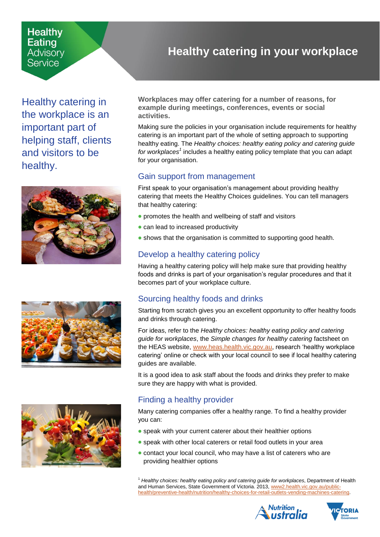#### **Healthy Eating** Advisorv Service

Healthy catering in the workplace is an important part of helping staff, clients and visitors to be healthy.







# <span id="page-0-0"></span>**Healthy catering in your workplace**

**Workplaces may offer catering for a number of reasons, for example during meetings, conferences, events or social activities.**

Making sure the policies in your organisation include requirements for healthy catering is an important part of the whole of setting approach to supporting healthy eating. The *Healthy choices: healthy eating policy and catering guide*  for workplaces<sup>1</sup> includes a healthy eating policy template that you can adapt for your organisation.

#### Gain support from management

First speak to your organisation's management about providing healthy catering that meets the Healthy Choices guidelines. You can tell managers that healthy catering:

- promotes the health and wellbeing of staff and visitors
- can lead to increased productivity
- shows that the organisation is committed to supporting good health.

## Develop a healthy catering policy

Having a healthy catering policy will help make sure that providing healthy foods and drinks is part of your organisation's regular procedures and that it becomes part of your workplace culture.

## Sourcing healthy foods and drinks

Starting from scratch gives you an excellent opportunity to offer healthy foods and drinks through catering.

For ideas, refer to the *Healthy choices: healthy eating policy and catering guide for workplaces*, the *Simple changes for healthy catering* factsheet on the HEAS website, [www.heas.health.vic.gov.au,](http://www.heas.health.vic.gov.au/) research 'healthy workplace catering' online or check with your local council to see if local healthy catering guides are available.

It is a good idea to ask staff about the foods and drinks they prefer to make sure they are happy with what is provided.

## Finding a healthy provider

Many catering companies offer a healthy range. To find a healthy provider you can:

- speak with your current caterer about their healthier options
- **•** speak with other local caterers or retail food outlets in your area
- contact your local council, who may have a list of caterers who are providing healthier options

<sup>1</sup> *Healthy choices: healthy eating policy and catering guide for workplaces*, Department of Health and Human Services, State Government of Victoria. 2013, [www2.health.vic.gov.au/public](https://www2.health.vic.gov.au/public-health/preventive-health/nutrition/healthy-choices-for-retail-outlets-vending-machines-catering)[health/preventive-health/nutrition/healthy-choices-for-retail-outlets-vending-machines-catering.](https://www2.health.vic.gov.au/public-health/preventive-health/nutrition/healthy-choices-for-retail-outlets-vending-machines-catering)